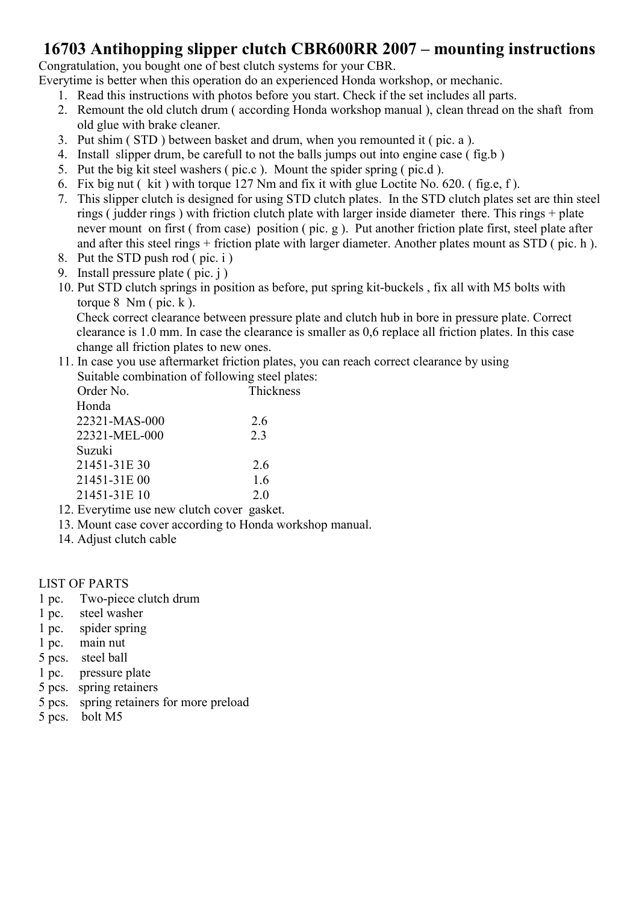### 16703 Antihopping slipper clutch CBR600RR 2007 – mounting instructions

Congratulation, you bought one of best clutch systems for your CBR.

Everytime is better when this operation do an experienced Honda workshop, or mechanic.

- 1. Read this instructions with photos before you start. Check if the set includes all parts.
- 2. Remount the old clutch drum ( according Honda workshop manual ), clean thread on the shaft from old glue with brake cleaner.
- 3. Put shim ( STD ) between basket and drum, when you remounted it ( pic. a ).
- 4. Install slipper drum, be carefull to not the balls jumps out into engine case ( fig.b )
- 5. Put the big kit steel washers ( pic.c ). Mount the spider spring ( pic.d ).
- 6. Fix big nut ( kit ) with torque 127 Nm and fix it with glue Loctite No. 620. ( fig.e, f ).
- 7. This slipper clutch is designed for using STD clutch plates. In the STD clutch plates set are thin steel rings ( judder rings ) with friction clutch plate with larger inside diameter there. This rings + plate never mount on first ( from case) position ( pic. g ). Put another friction plate first, steel plate after and after this steel rings + friction plate with larger diameter. Another plates mount as STD ( pic. h ).
- 8. Put the STD push rod ( pic. i )
- 9. Install pressure plate  $(pic. j)$
- 10. Put STD clutch springs in position as before, put spring kit-buckels , fix all with M5 bolts with torque  $8 \text{ Nm}$  ( pic. k).

Check correct clearance between pressure plate and clutch hub in bore in pressure plate. Correct clearance is 1.0 mm. In case the clearance is smaller as 0,6 replace all friction plates. In this case change all friction plates to new ones.

11. In case you use aftermarket friction plates, you can reach correct clearance by using Suitable combination of following steel plates:

| Order No.     | Thickness |
|---------------|-----------|
| Honda         |           |
| 22321-MAS-000 | 2.6       |
| 22321-MEL-000 | 2.3       |
| Suzuki        |           |
| 21451-31E 30  | 2.6       |
| 21451-31E 00  | 1.6       |
| 21451-31E 10  | 2.0       |

- 12. Everytime use new clutch cover gasket.
- 13. Mount case cover according to Honda workshop manual.
- 14. Adjust clutch cable

#### LIST OF PARTS

- 1 pc. Two-piece clutch drum
- 1 pc. steel washer
- 1 pc. spider spring
- 1 pc. main nut
- 5 pcs. steel ball
- 1 pc. pressure plate
- 5 pcs. spring retainers
- 5 pcs. spring retainers for more preload
- 5 pcs. bolt M5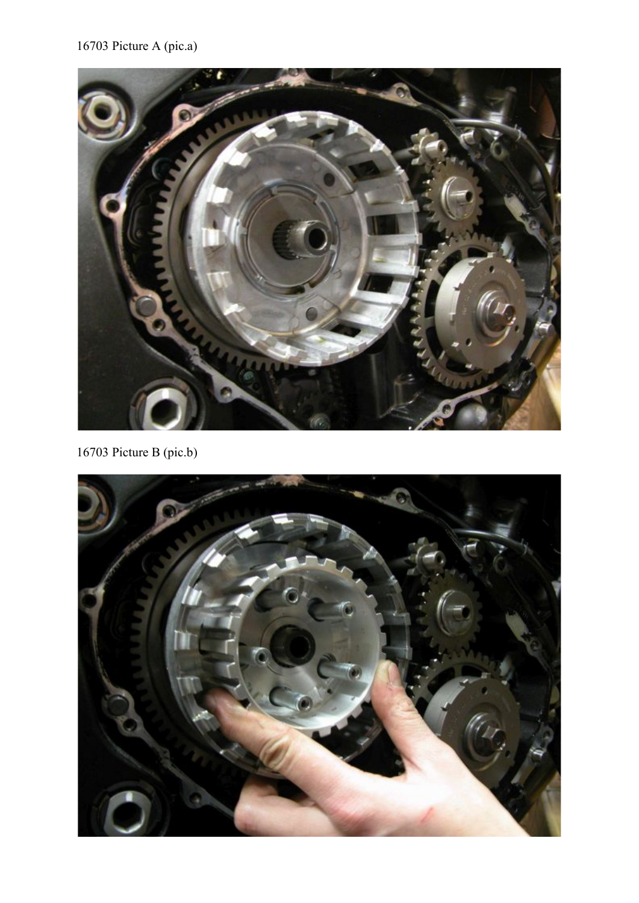## 16703 Picture A (pic.a)



16703 Picture B (pic.b)

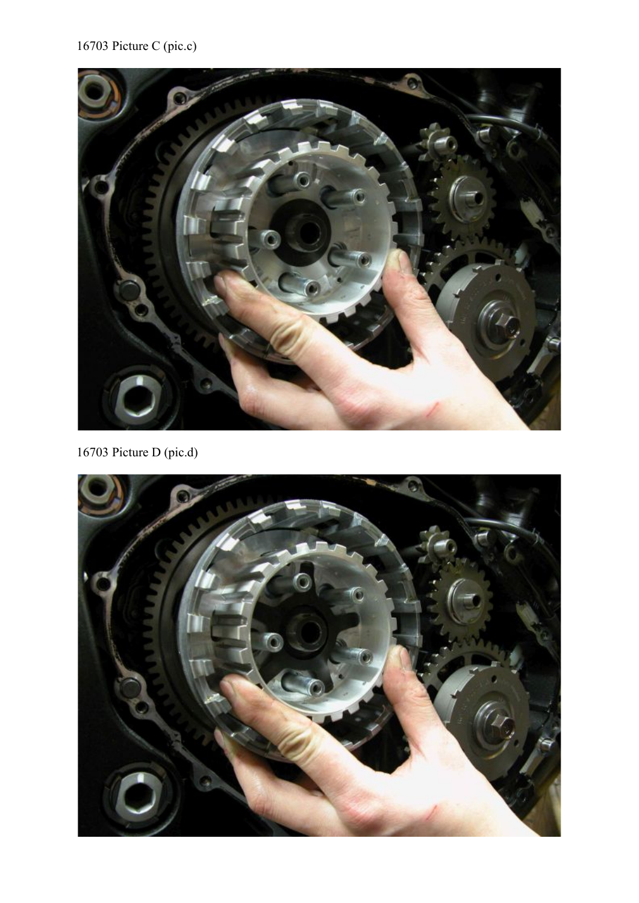# 16703 Picture C (pic.c)



16703 Picture D (pic.d)

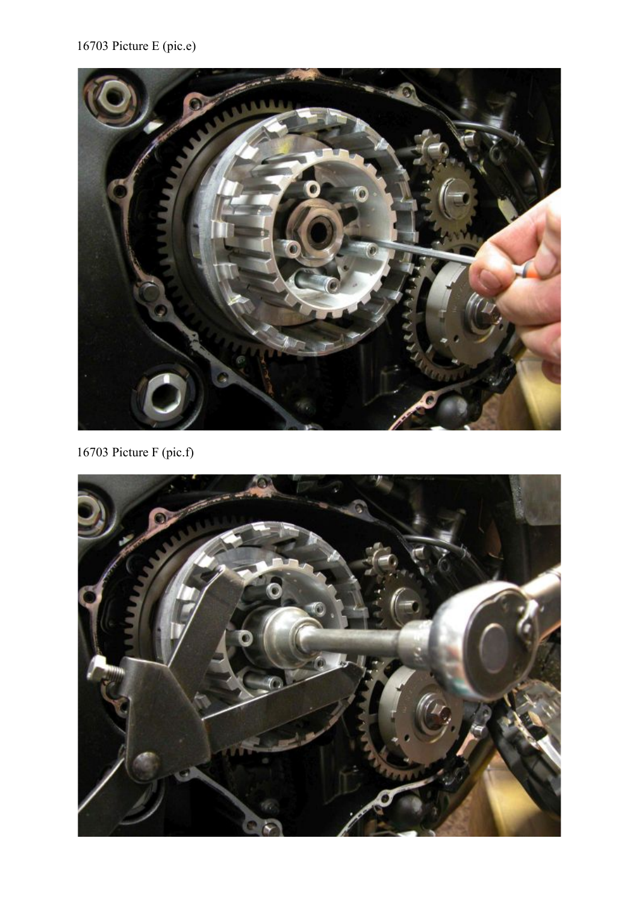# 16703 Picture E (pic.e)



16703 Picture F (pic.f)

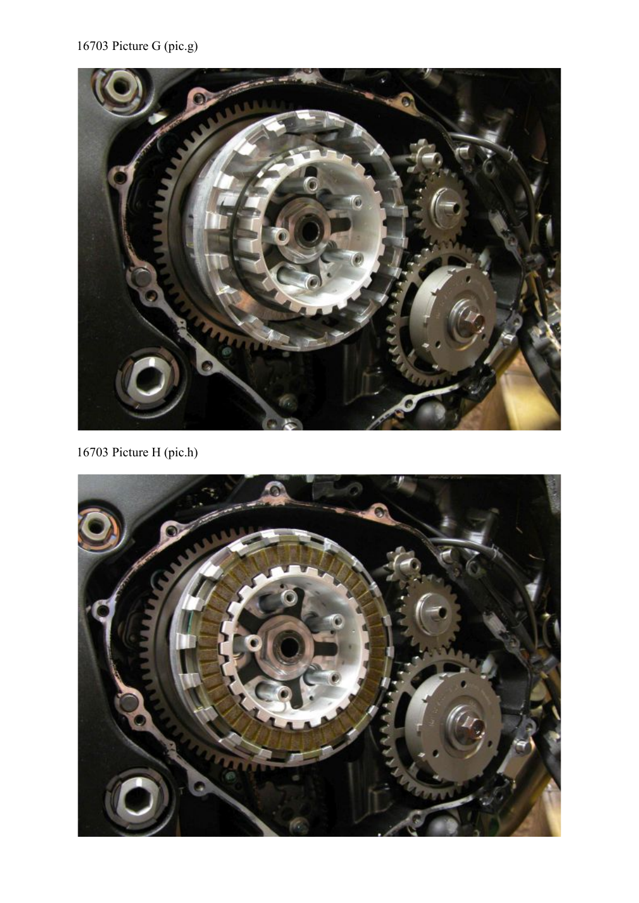# 16703 Picture G (pic.g)



16703 Picture H (pic.h)

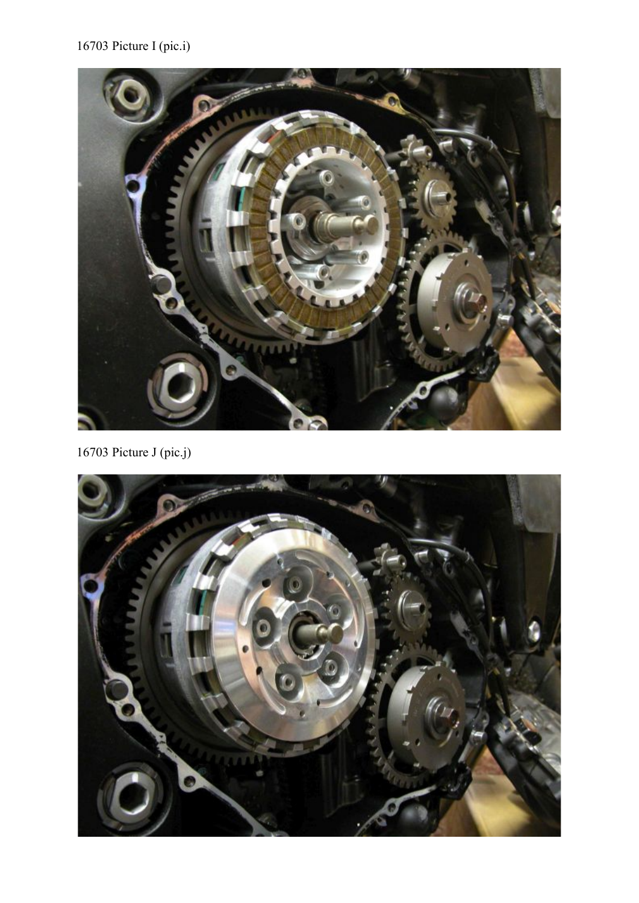# 16703 Picture I (pic.i)



16703 Picture J (pic.j)